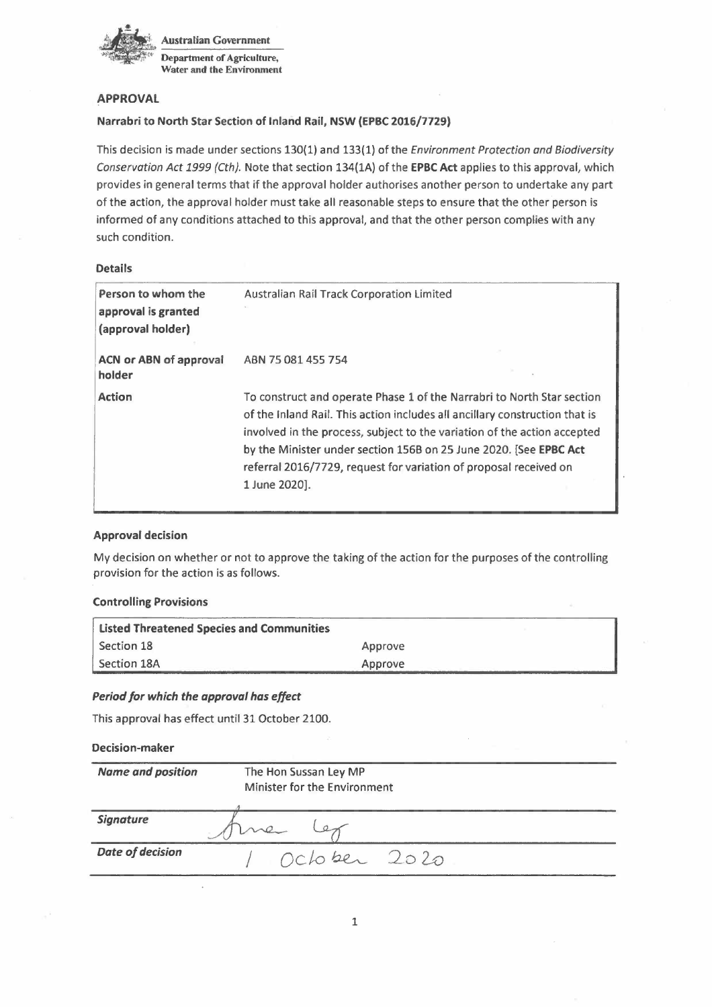

# **APPROVAL**

# **Narrabri to North Star Section of Inland Rail, NSW** (EPBC 2016/7729)

This decision is made under sections 130(1) and 133(1) of the *Environment Protection and Biodiversity Conservation Act* 1999 (Cth). Note that section 134(1A) of the **EPBC Act** applies to this approval, which provides in general terms that if the approval holder authorises another person to undertake any part of the action, the approval holder must take all reasonable steps to ensure that the other person is informed of any conditions attached to this approval, and that the other person complies with any such condition.

# **Details**

| Person to whom the<br>approval is granted<br>(approval holder) | Australian Rail Track Corporation Limited                                                                                                                                                                                                                                                                                                                                                    |
|----------------------------------------------------------------|----------------------------------------------------------------------------------------------------------------------------------------------------------------------------------------------------------------------------------------------------------------------------------------------------------------------------------------------------------------------------------------------|
| <b>ACN or ABN of approval</b><br>holder                        | ABN 75 081 455 754                                                                                                                                                                                                                                                                                                                                                                           |
| <b>Action</b>                                                  | To construct and operate Phase 1 of the Narrabri to North Star section<br>of the Inland Rail. This action includes all ancillary construction that is<br>involved in the process, subject to the variation of the action accepted<br>by the Minister under section 156B on 25 June 2020. [See EPBC Act<br>referral 2016/7729, request for variation of proposal received on<br>1 June 2020]. |

# **Approval decision**

My decision on whether or not to approve the taking of the action for the purposes of the controlling provision for the action is as follows.

# **Controlling Provisions**

| <b>Listed Threatened Species and Communities</b> |         |  |
|--------------------------------------------------|---------|--|
| Section 18                                       | Approve |  |
| Section 18A                                      | Approve |  |

# *Period for which the approval has effect*

This approval has effect until 31 October 2100.

# **Decision-maker**

| <b>Name and position</b> | The Hon Sussan Ley MP<br>Minister for the Environment |  |
|--------------------------|-------------------------------------------------------|--|
| <b>Signature</b>         |                                                       |  |
| <b>Date of decision</b>  | October 2020                                          |  |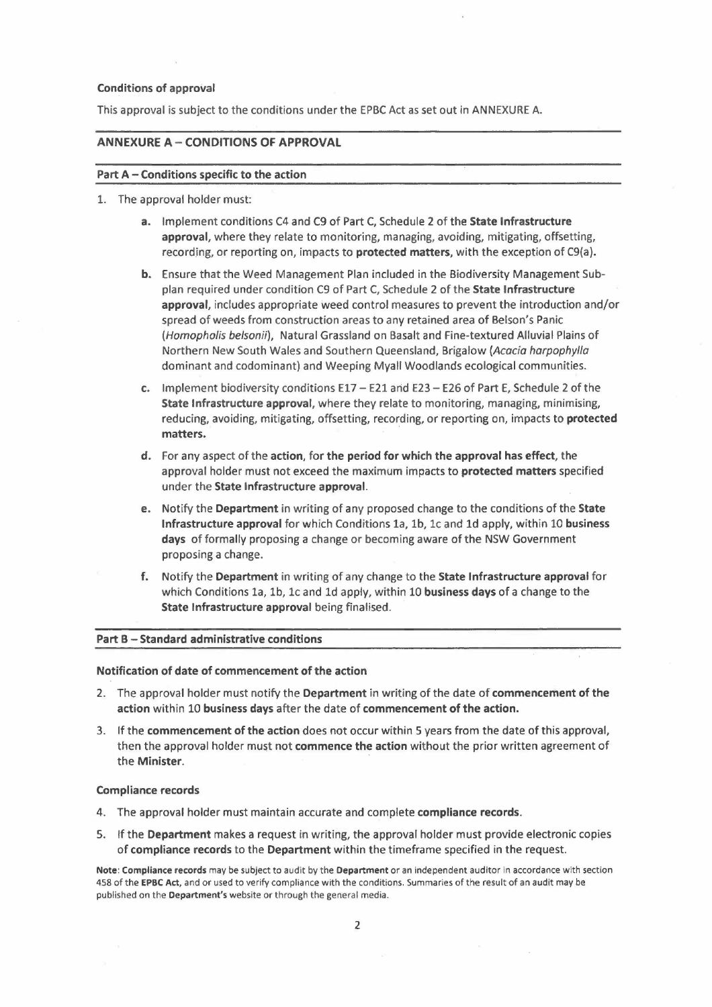### Conditions of approval

This approval is subject to the conditions under the EPBC Act as set out in ANNEXURE A.

### **ANNEXURE A- CONDITIONS OF APPROVAL**

### **Part** A- Conditions **specific to the action**

- 1. The approval holder must:
	- **a.** Implement conditions C4 and C9 of Part C, Schedule 2 of the **State Infrastructure approval,** where they relate to monitoring, managing, avoiding, mitigating, offsetting, recording, or reporting on, impacts to **protected matters,** with the exception of C9(a).
	- **b.** Ensure that the Weed Management Plan included in the Biodiversity Management Subplan required under condition C9 of Part C, Schedule 2 of the **State Infrastructure approval,** includes appropriate weed control measures to prevent the introduction and/or spread of weeds from construction areas to any retained area of Belson's Panic (Homopholis belsonii), Natural Grassland on Basalt and Fine-textured Alluvial Plains of Northern New South Wales and Southern Queensland, Brigalow (Acacia harpophylla dominant and codominant) and Weeping Myall Woodlands ecological communities.
	- **c.** Implement biodiversity conditions E17 E21 and E23 E26 of Part E, Schedule 2 of the **State Infrastructure approval,** where they relate to monitoring, managing, minimising, reducing, avoiding, mitigating, offsetting, recording, or reporting on, impacts to **protected matters.**
	- **d.** For any aspect of the **action,** for **the period for which the approval has effect,** the approval holder must not exceed the maximum impacts to **protected matters** specified under the **State Infrastructure approval.**
	- **e.** Notify the **Department** in writing of any proposed change to the conditions of the **State Infrastructure approval** for which Conditions la, lb, le and 1d apply, within 10 **business days** of formally proposing a change or becoming aware of the NSW Government proposing a change.
	- f. Notify the **Department** in writing of any change to the **State Infrastructure approval** for **State Infrastructure approval** being finalised. which Conditions la, lb, le and 1d apply, within 10 **business days** of a change to the

### **Part B - Standard administrative conditions**

#### **Notification of date of commencement of the action**

- 2. The approval holder must notify the **Department** in writing of the date of **commencement of the action** within 10 business **days** after the date of **commencement of the action.**
- 3. If the **commencement of the action** does not occur within 5 years from the date of this approval, then the approval holder must not **commence the action** without the prior written agreement of the **Minister**.

#### **Compliance records**

- 4. The approval holder must maintain accurate and complete **compliance records.**
- 5. If the **Department** makes a request in writing, the approval holder must provide electronic copies of **compliance records** to the **Department** within the timeframe specified in the request.

**Note: Compliance records** may be subject to audit by the **Department** or an independent auditor in accordance with section 458 of the **EPBC Act,** and or used to verify compliance with the conditions. Summaries of the result of an audit may be published on the **Department's** website or through the general media.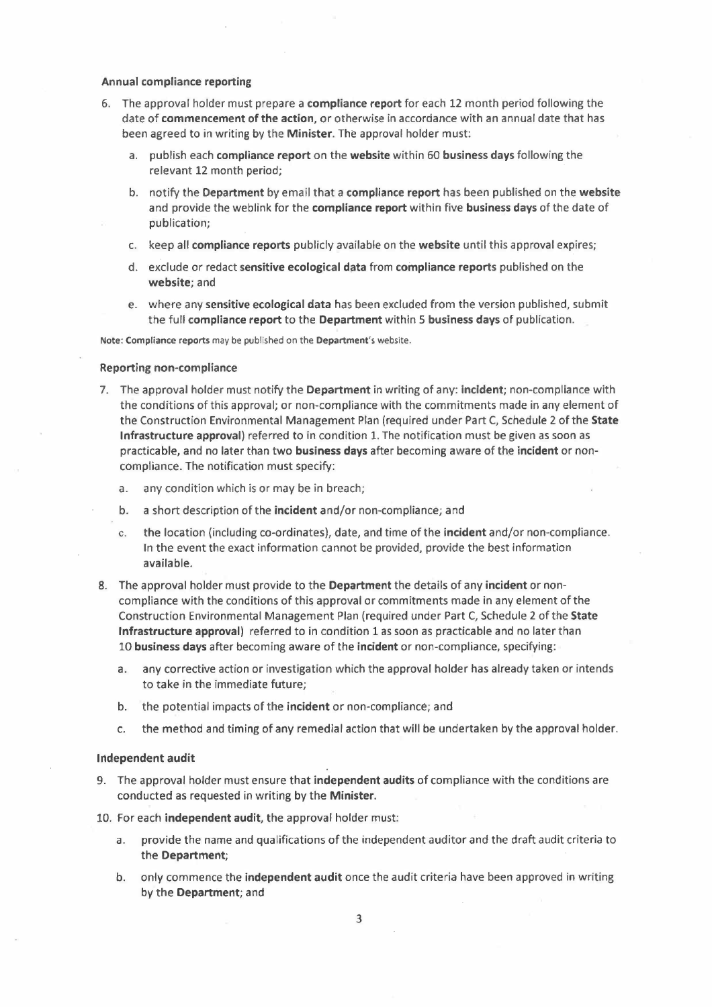### **Annual compliance reporting**

- 6. The approval holder must prepare a **compliance report** for each 12 month period following the date of **commencement of the action,** or otherwise in accordance with an annual date that has been agreed to in writing by the **Minister.** The approval holder must:
	- a. publish each **compliance report** on the **website** within 60 **business days** following the relevant 12 month period;
	- b. notify the **Department** by email that a **compliance report** has been published on the **website**  and provide the weblink for the **compliance report** within five **business days** of the date of publication;
	- c. keep all **compliance reports** publicly available on the **website** until this approval expires;
	- d. exclude or redact sensitive ecological data from compliance reports published on the **website;** and
	- e. where any **sensitive ecological data** has been excluded from the version published, submit the full **compliance report** to the **Department** within 5 **business days** of publication.

**Note: Compliance reports** may be published on the **Department's** website.

#### **Reporting non-compliance**

- 7. The approval holder must notify the **Department** in writing of any: **incident;** non-compliance with the conditions of this approval; or non-compliance with the commitments made in any element of the Construction Environmental Management Plan (required under Part C, Schedule 2 of the **State Infrastructure approval)** referred to in condition 1. The notification must be given as soon as practicable, and no later than two **business days** after becoming aware of the **incident** or noncompliance. The notification must specify:
	- a. any condition which is or may be in breach;
	- b. a short description of the **incident** and/or non-compliance; and
	- c. the location (including co-ordinates), date, and time of the **incident** and/or non-compliance. In the event the exact information cannot be provided, provide the best information available.
- 8. The approval holder must provide to the **Department** the details of any **incident** or noncompliance with the conditions of this approval or commitments made in any element of the Construction Environmental Management Plan (required under Part C, Schedule 2 of the **State Infrastructure approval)** referred to in condition 1 as soon as practicable and no later than <sup>10</sup>**business days** after becoming aware of the **incident** or non-compliance, specifying:
	- a. any corrective action or investigation which the approval holder has already taken or intends to take in the immediate future;
	- b. the potential impacts of the **incident** or non-compliance; and
	- c. the method and timing of any remedial action that will be undertaken by the approval holder.

#### Independent audit

- 9. The approval holder must ensure that **independent audits** of compliance with the conditions are conducted as requested in writing by the **Minister.**
- 10. For each **independent audit,** the approval holder must:
	- a. provide the name and qualifications of the independent auditor and the draft audit criteria to the **Department;**
	- b. only commence the **independent audit** once the audit criteria have been approved in writing by the **Department;** and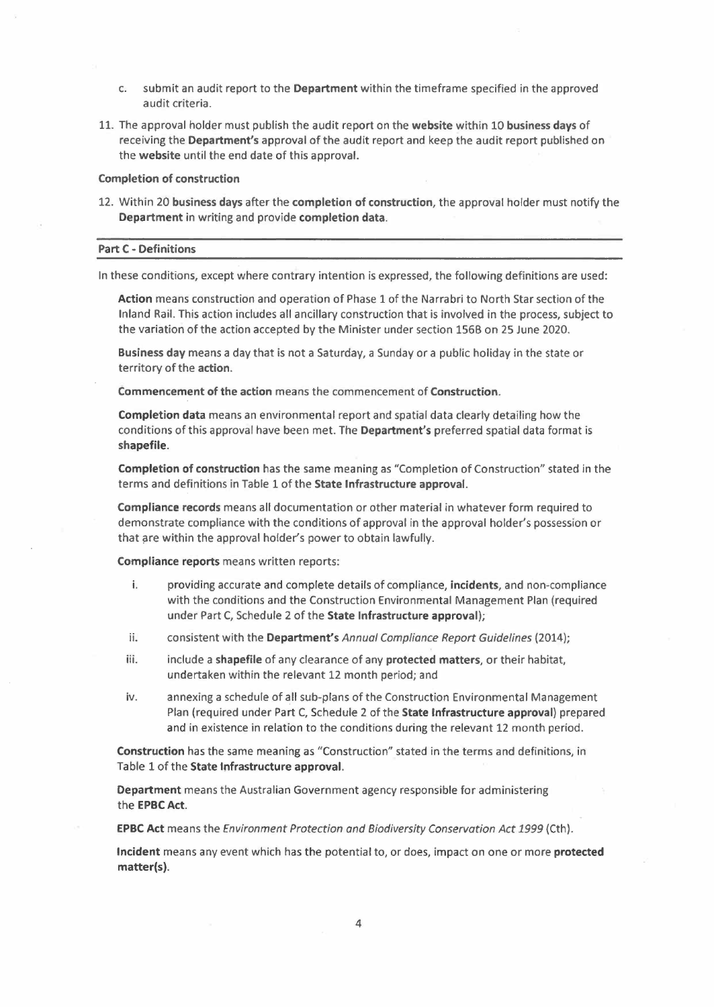- c. submit an audit report to the **Department** within the timeframe specified in the approved audit criteria.
- 11. The approval holder must publish the audit report on the **website** within 10 **business days** of receiving the **Department's** approval of the audit report and keep the audit report published on the **website** until the end date of this approval.

### **Completion of construction**

12. Within 20 business **days** after the **completion of construction,** the approval holder must notify the **Department** in writing and provide **completion data.** 

### **Part C - Definitions**

In these conditions, except where contrary intention is expressed, the following definitions are used:

**Action** means construction and operation of Phase 1 of the Narrabri to North Star section of the Inland Rail. This action includes all ancillary construction that is involved in the process, subject to the variation of the action accepted by the Minister under section 1568 on 25 June 2020.

**Business day** means a day that is not a Saturday, a Sunday or a public holiday in the state or territory of the **action.** 

**Commencement of the action** means the commencement of **Construction.** 

**Completion data** means an environmental report and spatial data clearly detailing how the conditions of this approval have been met. The **Department's** preferred spatial data format is **shapefile.** 

**Completion of construction** has the same meaning as "Completion of Construction" stated in the terms and definitions in Table 1 of the **State Infrastructure approval.** 

**Compliance records** means all documentation or other material in whatever form required to demonstrate compliance with the conditions of approval in the approval holder's possession or that are within the approval holder's power to obtain lawfully.

**Compliance reports** means written reports:

- i. providing accurate and complete details of compliance, **incidents,** and non-compliance with the conditions and the Construction Environmental Management Plan (required under Part C, Schedule 2 of the **State Infrastructure approval);**
- ii. consistent with the **Department's** *Annual Compliance Report* Guidelines (2014);
- iii. include a **shapefile** of any clearance of any **protected matters,** or their habitat, undertaken within the relevant 12 month period; and
- iv. annexing a schedule of all sub-plans of the Construction Environmental Management Plan (required under Part C, Schedule 2 of the **State Infrastructure approval)** prepared and in existence in relation to the conditions during the relevant 12 month period.

**Construction** has the same meaning as "Construction" stated in the terms and definitions, in Table 1 of the **State Infrastructure approval.** 

**Department** means the Australian Government agency responsible for administering the **EPBC Act.** 

**EPBC Act** means the *Environment Protection and Biodiversity Conservation Act* 1999 (Cth).

**Incident** means any event which has the potential to, or does, impact on one or more **protected matter(s).**